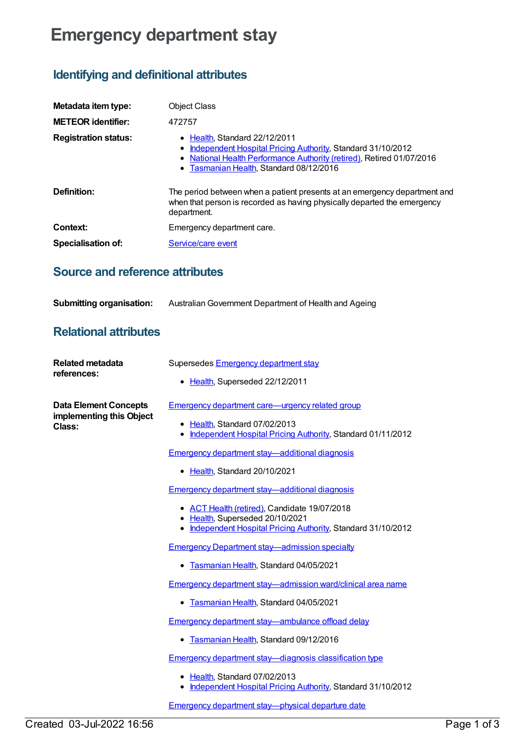# **Emergency department stay**

## **Identifying and definitional attributes**

| Metadata item type:         | <b>Object Class</b>                                                                                                                                                                                                      |
|-----------------------------|--------------------------------------------------------------------------------------------------------------------------------------------------------------------------------------------------------------------------|
| <b>METEOR identifier:</b>   | 472757                                                                                                                                                                                                                   |
| <b>Registration status:</b> | $\bullet$ Health, Standard 22/12/2011<br>Independent Hospital Pricing Authority, Standard 31/10/2012<br>• National Health Performance Authority (retired), Retired 01/07/2016<br>• Tasmanian Health, Standard 08/12/2016 |
| Definition:                 | The period between when a patient presents at an emergency department and<br>when that person is recorded as having physically departed the emergency<br>department.                                                     |
| Context:                    | Emergency department care.                                                                                                                                                                                               |
| <b>Specialisation of:</b>   | Service/care event                                                                                                                                                                                                       |

## **Source and reference attributes**

| <b>Submitting organisation:</b> | Australian Government Department of Health and Ageing |
|---------------------------------|-------------------------------------------------------|
|---------------------------------|-------------------------------------------------------|

### **Relational attributes**

| <b>Related metadata</b><br>references:                             | Supersedes Emergency department stay                                                                                                             |
|--------------------------------------------------------------------|--------------------------------------------------------------------------------------------------------------------------------------------------|
|                                                                    | • Health, Superseded 22/12/2011                                                                                                                  |
| <b>Data Element Concepts</b><br>implementing this Object<br>Class: | <b>Emergency department care—urgency related group</b>                                                                                           |
|                                                                    | • Health, Standard 07/02/2013<br>• Independent Hospital Pricing Authority, Standard 01/11/2012                                                   |
|                                                                    | <b>Emergency department stay—additional diagnosis</b>                                                                                            |
|                                                                    | • Health, Standard 20/10/2021                                                                                                                    |
|                                                                    | <b>Emergency department stay—additional diagnosis</b>                                                                                            |
|                                                                    | • ACT Health (retired), Candidate 19/07/2018<br>• Health, Superseded 20/10/2021<br>• Independent Hospital Pricing Authority, Standard 31/10/2012 |
|                                                                    | <b>Emergency Department stay—admission specialty</b>                                                                                             |
|                                                                    | Tasmanian Health, Standard 04/05/2021<br>٠                                                                                                       |
|                                                                    | Emergency department stay-admission ward/clinical area name                                                                                      |
|                                                                    | Tasmanian Health, Standard 04/05/2021<br>٠                                                                                                       |
|                                                                    | Emergency department stay-ambulance offload delay                                                                                                |
|                                                                    | Tasmanian Health, Standard 09/12/2016                                                                                                            |
|                                                                    | <b>Emergency department stay-diagnosis classification type</b>                                                                                   |
|                                                                    | • Health, Standard 07/02/2013<br>• Independent Hospital Pricing Authority, Standard 31/10/2012                                                   |
|                                                                    | Emergency department stay-physical departure date                                                                                                |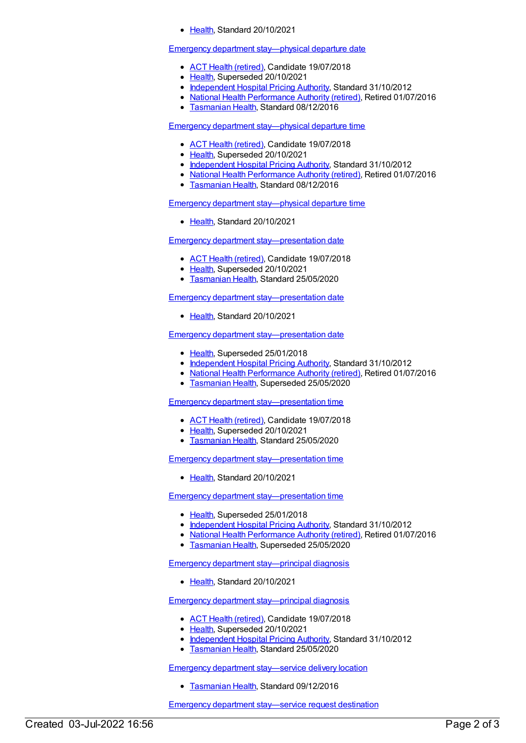[Health](https://meteor.aihw.gov.au/RegistrationAuthority/12), Standard 20/10/2021

#### Emergency department [stay—physical](https://meteor.aihw.gov.au/content/472973) departure date

- ACT Health [\(retired\)](https://meteor.aihw.gov.au/RegistrationAuthority/9), Candidate 19/07/2018
- [Health](https://meteor.aihw.gov.au/RegistrationAuthority/12), Superseded 20/10/2021
- [Independent](https://meteor.aihw.gov.au/RegistrationAuthority/3) Hospital Pricing Authority, Standard 31/10/2012
- National Health [Performance](https://meteor.aihw.gov.au/RegistrationAuthority/8) Authority (retired), Retired 01/07/2016
- **[Tasmanian](https://meteor.aihw.gov.au/RegistrationAuthority/15) Health, Standard 08/12/2016**

Emergency department [stay—physical](https://meteor.aihw.gov.au/content/472977) departure time

- ACT Health [\(retired\)](https://meteor.aihw.gov.au/RegistrationAuthority/9), Candidate 19/07/2018
- [Health](https://meteor.aihw.gov.au/RegistrationAuthority/12), Superseded 20/10/2021
- [Independent](https://meteor.aihw.gov.au/RegistrationAuthority/3) Hospital Pricing Authority, Standard 31/10/2012
- National Health [Performance](https://meteor.aihw.gov.au/RegistrationAuthority/8) Authority (retired), Retired 01/07/2016
- **[Tasmanian](https://meteor.aihw.gov.au/RegistrationAuthority/15) Health, Standard 08/12/2016**

Emergency department [stay—physical](https://meteor.aihw.gov.au/content/746081) departure time

• [Health](https://meteor.aihw.gov.au/RegistrationAuthority/12), Standard 20/10/2021

Emergency department [stay—presentation](https://meteor.aihw.gov.au/content/684846) date

- ACT Health [\(retired\)](https://meteor.aihw.gov.au/RegistrationAuthority/9), Candidate 19/07/2018
- [Health](https://meteor.aihw.gov.au/RegistrationAuthority/12), Superseded 20/10/2021
- **[Tasmanian](https://meteor.aihw.gov.au/RegistrationAuthority/15) Health, Standard 25/05/2020**

Emergency department [stay—presentation](https://meteor.aihw.gov.au/content/746091) date

● [Health](https://meteor.aihw.gov.au/RegistrationAuthority/12), Standard 20/10/2021

Emergency department [stay—presentation](https://meteor.aihw.gov.au/content/472764) date

- [Health](https://meteor.aihw.gov.au/RegistrationAuthority/12), Superseded 25/01/2018
- [Independent](https://meteor.aihw.gov.au/RegistrationAuthority/3) Hospital Pricing Authority, Standard 31/10/2012
- National Health [Performance](https://meteor.aihw.gov.au/RegistrationAuthority/8) Authority (retired), Retired 01/07/2016
- [Tasmanian](https://meteor.aihw.gov.au/RegistrationAuthority/15) Health, Superseded 25/05/2020

Emergency department [stay—presentation](https://meteor.aihw.gov.au/content/684854) time

- ACT Health [\(retired\)](https://meteor.aihw.gov.au/RegistrationAuthority/9), Candidate 19/07/2018
- [Health](https://meteor.aihw.gov.au/RegistrationAuthority/12), Superseded 20/10/2021
- [Tasmanian](https://meteor.aihw.gov.au/RegistrationAuthority/15) Health, Standard 25/05/2020

Emergency department [stay—presentation](https://meteor.aihw.gov.au/content/746096) time

• [Health](https://meteor.aihw.gov.au/RegistrationAuthority/12), Standard 20/10/2021

Emergency department [stay—presentation](https://meteor.aihw.gov.au/content/472772) time

- [Health](https://meteor.aihw.gov.au/RegistrationAuthority/12), Superseded 25/01/2018
- [Independent](https://meteor.aihw.gov.au/RegistrationAuthority/3) Hospital Pricing Authority, Standard 31/10/2012
- National Health [Performance](https://meteor.aihw.gov.au/RegistrationAuthority/8) Authority (retired), Retired 01/07/2016
- **[Tasmanian](https://meteor.aihw.gov.au/RegistrationAuthority/15) Health, Superseded 25/05/2020**

Emergency department [stay—principal](https://meteor.aihw.gov.au/content/746102) diagnosis

[Health](https://meteor.aihw.gov.au/RegistrationAuthority/12), Standard 20/10/2021

Emergency department [stay—principal](https://meteor.aihw.gov.au/content/447026) diagnosis

- ACT Health [\(retired\)](https://meteor.aihw.gov.au/RegistrationAuthority/9), Candidate 19/07/2018
- [Health](https://meteor.aihw.gov.au/RegistrationAuthority/12), Superseded 20/10/2021
- [Independent](https://meteor.aihw.gov.au/RegistrationAuthority/3) Hospital Pricing Authority, Standard 31/10/2012
- **[Tasmanian](https://meteor.aihw.gov.au/RegistrationAuthority/15) Health, Standard 25/05/2020**

Emergency department [stay—service](https://meteor.aihw.gov.au/content/443670) delivery location

**[Tasmanian](https://meteor.aihw.gov.au/RegistrationAuthority/15) Health, Standard 09/12/2016** 

Emergency department [stay—service](https://meteor.aihw.gov.au/content/743512) request destination